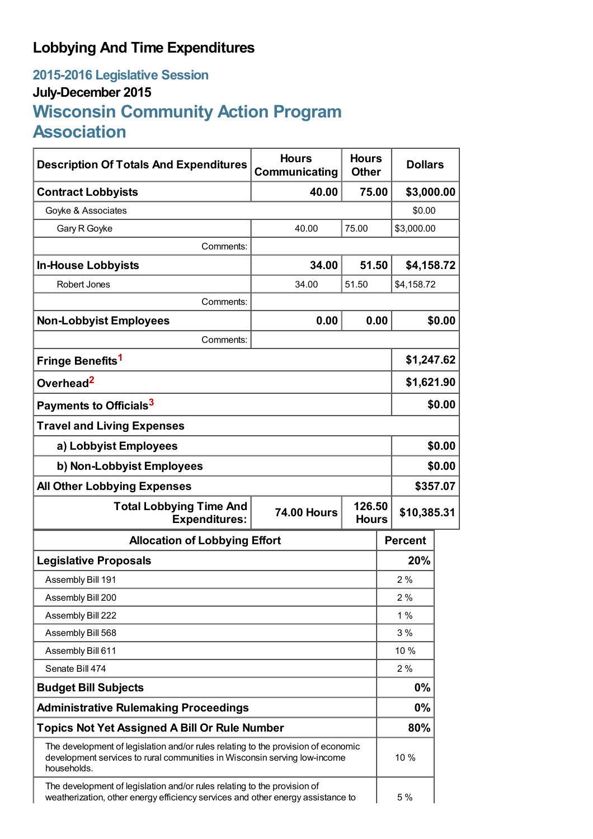## **Lobbying And Time Expenditures**

## **2015-2016 Legislative Session July-December 2015 Wisconsin Community Action Program Association**

| <b>Description Of Totals And Expenditures</b>                                                                                                                                 | <b>Hours</b><br>Communicating | <b>Hours</b><br><b>Other</b> | <b>Dollars</b> |          |  |
|-------------------------------------------------------------------------------------------------------------------------------------------------------------------------------|-------------------------------|------------------------------|----------------|----------|--|
| <b>Contract Lobbyists</b>                                                                                                                                                     | 40.00                         | 75.00                        | \$3,000.00     |          |  |
| Goyke & Associates                                                                                                                                                            |                               |                              | \$0.00         |          |  |
| Gary R Goyke                                                                                                                                                                  | 40.00                         | 75.00                        | \$3,000.00     |          |  |
| Comments:                                                                                                                                                                     |                               |                              |                |          |  |
| <b>In-House Lobbyists</b>                                                                                                                                                     | 34.00                         | 51.50                        | \$4,158.72     |          |  |
| Robert Jones                                                                                                                                                                  | 34.00                         | 51.50                        | \$4,158.72     |          |  |
| Comments:                                                                                                                                                                     |                               |                              |                |          |  |
| <b>Non-Lobbyist Employees</b>                                                                                                                                                 | 0.00                          | 0.00                         |                | \$0.00   |  |
| Comments:                                                                                                                                                                     |                               |                              |                |          |  |
| Fringe Benefits <sup>1</sup>                                                                                                                                                  |                               |                              | \$1,247.62     |          |  |
| Overhead <sup>2</sup>                                                                                                                                                         |                               |                              | \$1,621.90     |          |  |
| Payments to Officials <sup>3</sup>                                                                                                                                            |                               |                              |                | \$0.00   |  |
| <b>Travel and Living Expenses</b>                                                                                                                                             |                               |                              |                |          |  |
| a) Lobbyist Employees                                                                                                                                                         |                               |                              |                | \$0.00   |  |
| b) Non-Lobbyist Employees                                                                                                                                                     |                               |                              | \$0.00         |          |  |
| <b>All Other Lobbying Expenses</b>                                                                                                                                            |                               |                              |                | \$357.07 |  |
| <b>Total Lobbying Time And</b><br><b>74.00 Hours</b><br><b>Expenditures:</b>                                                                                                  |                               | 126.50<br><b>Hours</b>       | \$10,385.31    |          |  |
| <b>Allocation of Lobbying Effort</b>                                                                                                                                          |                               |                              | <b>Percent</b> |          |  |
| <b>Legislative Proposals</b>                                                                                                                                                  |                               |                              | 20%            |          |  |
| Assembly Bill 191                                                                                                                                                             |                               |                              | 2%             |          |  |
| Assembly Bill 200                                                                                                                                                             |                               |                              | 2%             |          |  |
| Assembly Bill 222                                                                                                                                                             |                               |                              | 1%             |          |  |
| Assembly Bill 568                                                                                                                                                             |                               |                              | 3%             |          |  |
| Assembly Bill 611                                                                                                                                                             |                               |                              | 10 %           |          |  |
| Senate Bill 474                                                                                                                                                               |                               |                              | 2%             |          |  |
| <b>Budget Bill Subjects</b>                                                                                                                                                   |                               |                              | 0%             |          |  |
| <b>Administrative Rulemaking Proceedings</b>                                                                                                                                  |                               |                              | $0\%$          |          |  |
| <b>Topics Not Yet Assigned A Bill Or Rule Number</b>                                                                                                                          |                               |                              | 80%            |          |  |
| The development of legislation and/or rules relating to the provision of economic<br>development services to rural communities in Wisconsin serving low-income<br>households. |                               |                              | 10 %           |          |  |
| The development of legislation and/or rules relating to the provision of<br>weatherization, other energy efficiency services and other energy assistance to                   |                               |                              | 5 %            |          |  |